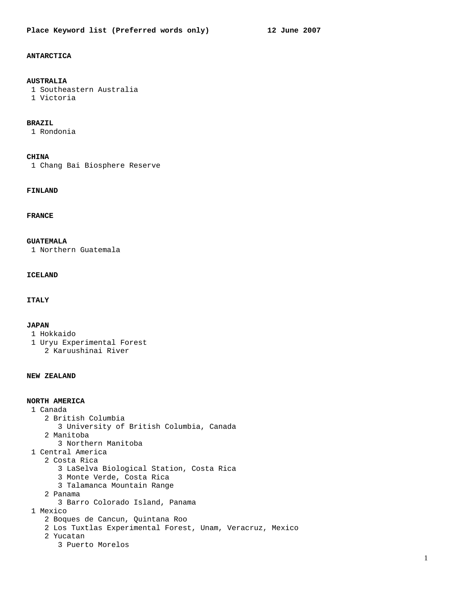# **ANTARCTICA**

## **AUSTRALIA**

 1 Southeastern Australia 1 Victoria

#### **BRAZIL**

1 Rondonia

#### **CHINA**

1 Chang Bai Biosphere Reserve

## **FINLAND**

## **FRANCE**

## **GUATEMALA**

1 Northern Guatemala

## **ICELAND**

## **ITALY**

#### **JAPAN**

- 1 Hokkaido
- 1 Uryu Experimental Forest 2 Karuushinai River

#### **NEW ZEALAND**

# **NORTH AMERICA**

- 1 Canada
	- 2 British Columbia
	- 3 University of British Columbia, Canada
	- 2 Manitoba
		- 3 Northern Manitoba
- 1 Central America
- 2 Costa Rica
	- 3 LaSelva Biological Station, Costa Rica
	- 3 Monte Verde, Costa Rica
	- 3 Talamanca Mountain Range
	- 2 Panama
	- 3 Barro Colorado Island, Panama
- 1 Mexico
	- 2 Boques de Cancun, Quintana Roo
	- 2 Los Tuxtlas Experimental Forest, Unam, Veracruz, Mexico
	- 2 Yucatan
		- 3 Puerto Morelos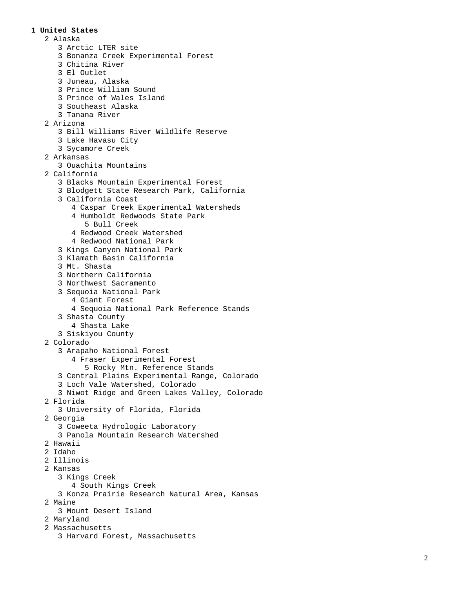### **1 United States**

 2 Alaska 3 Arctic LTER site 3 Bonanza Creek Experimental Forest 3 Chitina River 3 El Outlet 3 Juneau, Alaska 3 Prince William Sound 3 Prince of Wales Island 3 Southeast Alaska 3 Tanana River 2 Arizona 3 Bill Williams River Wildlife Reserve 3 Lake Havasu City 3 Sycamore Creek 2 Arkansas 3 Ouachita Mountains 2 California 3 Blacks Mountain Experimental Forest 3 Blodgett State Research Park, California 3 California Coast 4 Caspar Creek Experimental Watersheds 4 Humboldt Redwoods State Park 5 Bull Creek 4 Redwood Creek Watershed 4 Redwood National Park 3 Kings Canyon National Park 3 Klamath Basin California 3 Mt. Shasta 3 Northern California 3 Northwest Sacramento 3 Sequoia National Park 4 Giant Forest 4 Sequoia National Park Reference Stands 3 Shasta County 4 Shasta Lake 3 Siskiyou County 2 Colorado 3 Arapaho National Forest 4 Fraser Experimental Forest 5 Rocky Mtn. Reference Stands 3 Central Plains Experimental Range, Colorado 3 Loch Vale Watershed, Colorado 3 Niwot Ridge and Green Lakes Valley, Colorado 2 Florida 3 University of Florida, Florida 2 Georgia 3 Coweeta Hydrologic Laboratory 3 Panola Mountain Research Watershed 2 Hawaii 2 Idaho 2 Illinois 2 Kansas 3 Kings Creek 4 South Kings Creek 3 Konza Prairie Research Natural Area, Kansas 2 Maine 3 Mount Desert Island 2 Maryland 2 Massachusetts

3 Harvard Forest, Massachusetts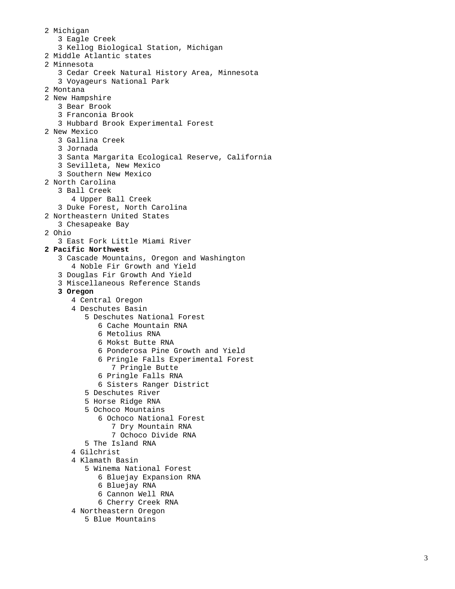2 Michigan 3 Eagle Creek 3 Kellog Biological Station, Michigan 2 Middle Atlantic states 2 Minnesota 3 Cedar Creek Natural History Area, Minnesota 3 Voyageurs National Park 2 Montana 2 New Hampshire 3 Bear Brook 3 Franconia Brook 3 Hubbard Brook Experimental Forest 2 New Mexico 3 Gallina Creek 3 Jornada 3 Santa Margarita Ecological Reserve, California 3 Sevilleta, New Mexico 3 Southern New Mexico 2 North Carolina 3 Ball Creek 4 Upper Ball Creek 3 Duke Forest, North Carolina 2 Northeastern United States 3 Chesapeake Bay 2 Ohio 3 East Fork Little Miami River  **2 Pacific Northwest**  3 Cascade Mountains, Oregon and Washington 4 Noble Fir Growth and Yield 3 Douglas Fir Growth And Yield 3 Miscellaneous Reference Stands  **3 Oregon**  4 Central Oregon 4 Deschutes Basin 5 Deschutes National Forest 6 Cache Mountain RNA 6 Metolius RNA 6 Mokst Butte RNA 6 Ponderosa Pine Growth and Yield 6 Pringle Falls Experimental Forest 7 Pringle Butte 6 Pringle Falls RNA 6 Sisters Ranger District 5 Deschutes River 5 Horse Ridge RNA 5 Ochoco Mountains 6 Ochoco National Forest 7 Dry Mountain RNA 7 Ochoco Divide RNA 5 The Island RNA 4 Gilchrist 4 Klamath Basin 5 Winema National Forest 6 Bluejay Expansion RNA 6 Bluejay RNA 6 Cannon Well RNA 6 Cherry Creek RNA 4 Northeastern Oregon

5 Blue Mountains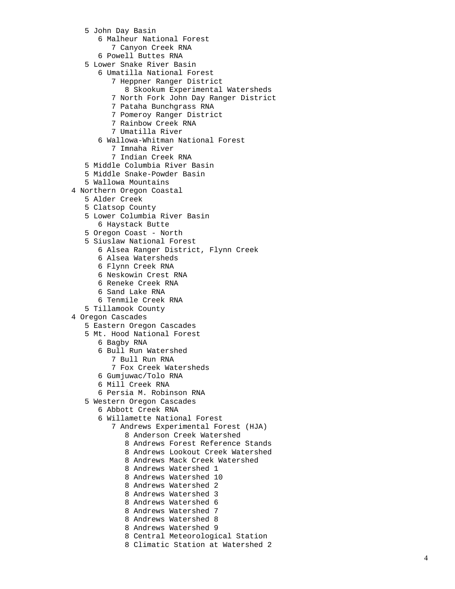- 5 John Day Basin
	- 6 Malheur National Forest
	- 7 Canyon Creek RNA
	- 6 Powell Buttes RNA
- 5 Lower Snake River Basin
	- 6 Umatilla National Forest
		- 7 Heppner Ranger District
			- 8 Skookum Experimental Watersheds
			- 7 North Fork John Day Ranger District
			- 7 Pataha Bunchgrass RNA
		- 7 Pomeroy Ranger District
		- 7 Rainbow Creek RNA
		- 7 Umatilla River
	- 6 Wallowa-Whitman National Forest
		- 7 Imnaha River
		- 7 Indian Creek RNA
- 5 Middle Columbia River Basin
- 5 Middle Snake-Powder Basin
- 5 Wallowa Mountains
- 4 Northern Oregon Coastal
	- 5 Alder Creek
	- 5 Clatsop County
	- 5 Lower Columbia River Basin
		- 6 Haystack Butte
	- 5 Oregon Coast North
	- 5 Siuslaw National Forest
		- 6 Alsea Ranger District, Flynn Creek
		- 6 Alsea Watersheds
		- 6 Flynn Creek RNA
		- 6 Neskowin Crest RNA
		- 6 Reneke Creek RNA
		- 6 Sand Lake RNA
		- 6 Tenmile Creek RNA
	- 5 Tillamook County
- 4 Oregon Cascades
	- 5 Eastern Oregon Cascades
	- 5 Mt. Hood National Forest
		- 6 Bagby RNA
		- 6 Bull Run Watershed
			- 7 Bull Run RNA
			- 7 Fox Creek Watersheds
		- 6 Gumjuwac/Tolo RNA
		- 6 Mill Creek RNA
	- 6 Persia M. Robinson RNA
	- 5 Western Oregon Cascades
		- 6 Abbott Creek RNA
			- 6 Willamette National Forest
				- 7 Andrews Experimental Forest (HJA)
					- 8 Anderson Creek Watershed
					- 8 Andrews Forest Reference Stands
					- 8 Andrews Lookout Creek Watershed
					- 8 Andrews Mack Creek Watershed
					- 8 Andrews Watershed 1
					- 8 Andrews Watershed 10
					- 8 Andrews Watershed 2
					- 8 Andrews Watershed 3
					- 8 Andrews Watershed 6
					- 8 Andrews Watershed 7
					- 8 Andrews Watershed 8
					- 8 Andrews Watershed 9
					- 8 Central Meteorological Station
					- 8 Climatic Station at Watershed 2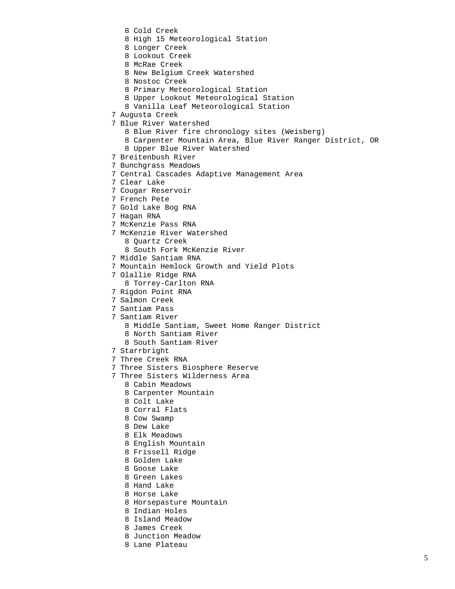- 8 Cold Creek
- 8 High 15 Meteorological Station
- 8 Longer Creek
- 8 Lookout Creek
- 8 McRae Creek
- 8 New Belgium Creek Watershed
- 8 Nostoc Creek
- 8 Primary Meteorological Station
- 8 Upper Lookout Meteorological Station
- 8 Vanilla Leaf Meteorological Station
- 7 Augusta Creek
- 7 Blue River Watershed
	- 8 Blue River fire chronology sites (Weisberg)
	- 8 Carpenter Mountain Area, Blue River Ranger District, OR
	- 8 Upper Blue River Watershed
- 7 Breitenbush River
- 7 Bunchgrass Meadows
- 7 Central Cascades Adaptive Management Area
- 7 Clear Lake
- 7 Cougar Reservoir
- 7 French Pete
- 7 Gold Lake Bog RNA
- 7 Hagan RNA
- 7 McKenzie Pass RNA
- 7 McKenzie River Watershed
	- 8 Quartz Creek
	- 8 South Fork McKenzie River
- 7 Middle Santiam RNA
- 7 Mountain Hemlock Growth and Yield Plots
- 7 Olallie Ridge RNA
	- 8 Torrey-Carlton RNA
- 7 Rigdon Point RNA
- 7 Salmon Creek
- 7 Santiam Pass
- 7 Santiam River
	- 8 Middle Santiam, Sweet Home Ranger District
	- 8 North Santiam River
	- 8 South Santiam River
- 7 Starrbright
- 7 Three Creek RNA
- 7 Three Sisters Biosphere Reserve
- 7 Three Sisters Wilderness Area
	- 8 Cabin Meadows
	- 8 Carpenter Mountain
	- 8 Colt Lake
	- 8 Corral Flats
	- 8 Cow Swamp
	- 8 Dew Lake
	- 8 Elk Meadows
	- 8 English Mountain
	- 8 Frissell Ridge
	- 8 Golden Lake
	- 8 Goose Lake
	- 8 Green Lakes
	- 8 Hand Lake
	- 8 Horse Lake
	- 8 Horsepasture Mountain
	- 8 Indian Holes
	- 8 Island Meadow
	- 8 James Creek
	- 8 Junction Meadow
	- 8 Lane Plateau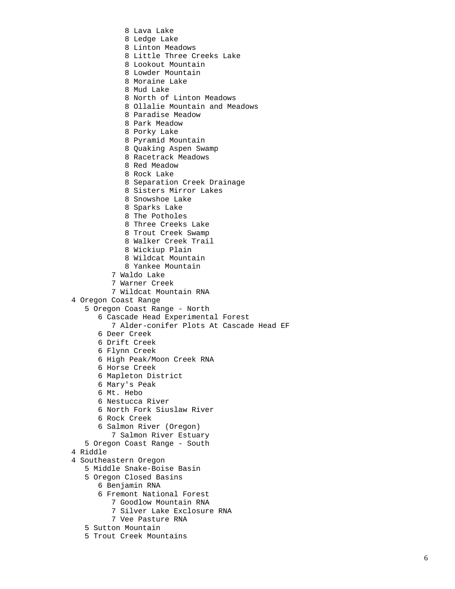8 Lava Lake 8 Ledge Lake 8 Linton Meadows 8 Little Three Creeks Lake 8 Lookout Mountain 8 Lowder Mountain 8 Moraine Lake 8 Mud Lake 8 North of Linton Meadows 8 Ollalie Mountain and Meadows 8 Paradise Meadow 8 Park Meadow 8 Porky Lake 8 Pyramid Mountain 8 Quaking Aspen Swamp 8 Racetrack Meadows 8 Red Meadow 8 Rock Lake 8 Separation Creek Drainage 8 Sisters Mirror Lakes 8 Snowshoe Lake 8 Sparks Lake 8 The Potholes 8 Three Creeks Lake 8 Trout Creek Swamp 8 Walker Creek Trail 8 Wickiup Plain 8 Wildcat Mountain 8 Yankee Mountain 7 Waldo Lake 7 Warner Creek 7 Wildcat Mountain RNA 4 Oregon Coast Range 5 Oregon Coast Range - North 6 Cascade Head Experimental Forest 7 Alder-conifer Plots At Cascade Head EF 6 Deer Creek 6 Drift Creek 6 Flynn Creek 6 High Peak/Moon Creek RNA 6 Horse Creek 6 Mapleton District 6 Mary's Peak 6 Mt. Hebo 6 Nestucca River 6 North Fork Siuslaw River 6 Rock Creek 6 Salmon River (Oregon) 7 Salmon River Estuary 5 Oregon Coast Range - South 4 Riddle 4 Southeastern Oregon 5 Middle Snake-Boise Basin 5 Oregon Closed Basins 6 Benjamin RNA 6 Fremont National Forest 7 Goodlow Mountain RNA 7 Silver Lake Exclosure RNA 7 Vee Pasture RNA 5 Sutton Mountain 5 Trout Creek Mountains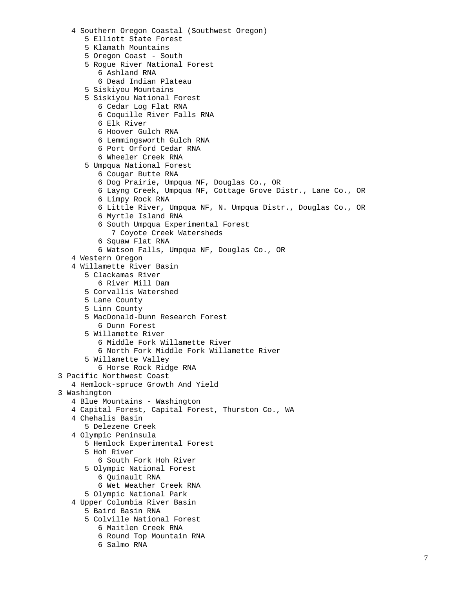```
 4 Southern Oregon Coastal (Southwest Oregon) 
      5 Elliott State Forest 
      5 Klamath Mountains 
      5 Oregon Coast - South 
      5 Rogue River National Forest 
         6 Ashland RNA 
         6 Dead Indian Plateau 
      5 Siskiyou Mountains 
      5 Siskiyou National Forest 
         6 Cedar Log Flat RNA 
         6 Coquille River Falls RNA 
         6 Elk River 
         6 Hoover Gulch RNA 
         6 Lemmingsworth Gulch RNA 
         6 Port Orford Cedar RNA 
         6 Wheeler Creek RNA 
      5 Umpqua National Forest 
         6 Cougar Butte RNA 
         6 Dog Prairie, Umpqua NF, Douglas Co., OR 
         6 Layng Creek, Umpqua NF, Cottage Grove Distr., Lane Co., OR 
         6 Limpy Rock RNA 
         6 Little River, Umpqua NF, N. Umpqua Distr., Douglas Co., OR 
         6 Myrtle Island RNA 
         6 South Umpqua Experimental Forest 
             7 Coyote Creek Watersheds 
         6 Squaw Flat RNA 
          6 Watson Falls, Umpqua NF, Douglas Co., OR 
   4 Western Oregon 
   4 Willamette River Basin 
      5 Clackamas River 
         6 River Mill Dam 
      5 Corvallis Watershed 
      5 Lane County 
      5 Linn County 
      5 MacDonald-Dunn Research Forest 
         6 Dunn Forest 
      5 Willamette River 
         6 Middle Fork Willamette River 
         6 North Fork Middle Fork Willamette River 
      5 Willamette Valley 
         6 Horse Rock Ridge RNA 
3 Pacific Northwest Coast 
   4 Hemlock-spruce Growth And Yield 
3 Washington 
   4 Blue Mountains - Washington 
   4 Capital Forest, Capital Forest, Thurston Co., WA 
   4 Chehalis Basin 
      5 Delezene Creek 
   4 Olympic Peninsula 
      5 Hemlock Experimental Forest 
      5 Hoh River 
         6 South Fork Hoh River 
      5 Olympic National Forest 
         6 Quinault RNA 
         6 Wet Weather Creek RNA 
      5 Olympic National Park 
   4 Upper Columbia River Basin 
      5 Baird Basin RNA 
      5 Colville National Forest 
         6 Maitlen Creek RNA 
         6 Round Top Mountain RNA 
         6 Salmo RNA
```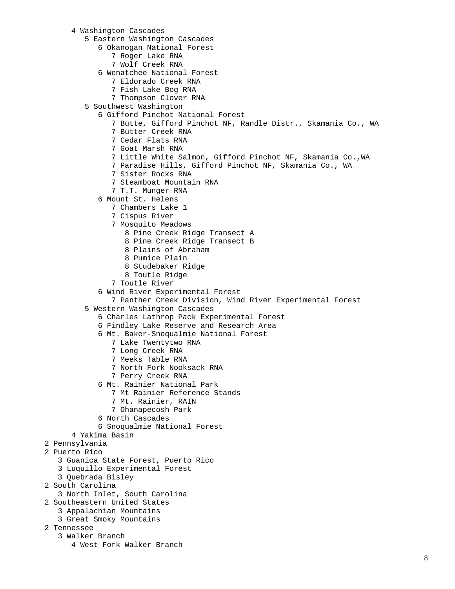#### 4 Washington Cascades

- 5 Eastern Washington Cascades
	- 6 Okanogan National Forest
		- 7 Roger Lake RNA
		- 7 Wolf Creek RNA
	- 6 Wenatchee National Forest
		- 7 Eldorado Creek RNA
		- 7 Fish Lake Bog RNA
		- 7 Thompson Clover RNA
- 5 Southwest Washington
	- 6 Gifford Pinchot National Forest
		- 7 Butte, Gifford Pinchot NF, Randle Distr., Skamania Co., WA
		- 7 Butter Creek RNA
		- 7 Cedar Flats RNA
		- 7 Goat Marsh RNA
		- 7 Little White Salmon, Gifford Pinchot NF, Skamania Co.,WA
		- 7 Paradise Hills, Gifford Pinchot NF, Skamania Co., WA
		- 7 Sister Rocks RNA
		- 7 Steamboat Mountain RNA
		- 7 T.T. Munger RNA
	- 6 Mount St. Helens
		- 7 Chambers Lake 1
		- 7 Cispus River
		- 7 Mosquito Meadows
			- 8 Pine Creek Ridge Transect A
			- 8 Pine Creek Ridge Transect B
			- 8 Plains of Abraham
			- 8 Pumice Plain
			- 8 Studebaker Ridge
			- 8 Toutle Ridge
		- 7 Toutle River
	- 6 Wind River Experimental Forest
		- 7 Panther Creek Division, Wind River Experimental Forest
- 5 Western Washington Cascades
	- 6 Charles Lathrop Pack Experimental Forest
	- 6 Findley Lake Reserve and Research Area
	- 6 Mt. Baker-Snoqualmie National Forest
		- 7 Lake Twentytwo RNA
		- 7 Long Creek RNA
		- 7 Meeks Table RNA
		- 7 North Fork Nooksack RNA
		- 7 Perry Creek RNA
	- 6 Mt. Rainier National Park
		- 7 Mt Rainier Reference Stands
		- 7 Mt. Rainier, RAIN
		- 7 Ohanapecosh Park
	- 6 North Cascades
	- 6 Snoqualmie National Forest
- 4 Yakima Basin
- 2 Pennsylvania
- 2 Puerto Rico
	- 3 Guanica State Forest, Puerto Rico
	- 3 Luquillo Experimental Forest
	- 3 Quebrada Bisley
- 2 South Carolina
	- 3 North Inlet, South Carolina
- 2 Southeastern United States
	- 3 Appalachian Mountains
		- 3 Great Smoky Mountains

# 2 Tennessee

- 3 Walker Branch
	- 4 West Fork Walker Branch